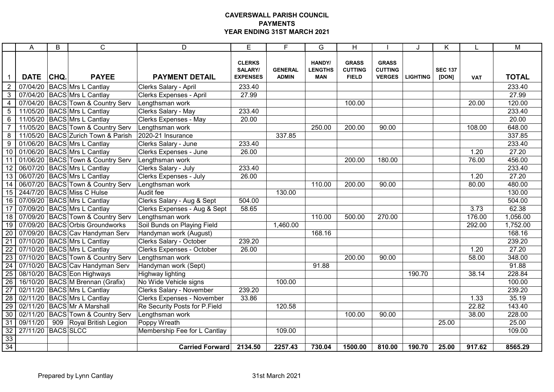## CAVERSWALL PARISH COUNCIL PAYMENTS YEAR ENDING 31ST MARCH 2021

|                 | A                  | B    | C                                     | D                                 | E                                           | F.                             | G                                      | H                                              |                                                 |                 | Κ                       |            | $\overline{M}$ |
|-----------------|--------------------|------|---------------------------------------|-----------------------------------|---------------------------------------------|--------------------------------|----------------------------------------|------------------------------------------------|-------------------------------------------------|-----------------|-------------------------|------------|----------------|
|                 | <b>DATE</b>        | CHQ. | <b>PAYEE</b>                          | <b>PAYMENT DETAIL</b>             | <b>CLERKS</b><br>SALARY/<br><b>EXPENSES</b> | <b>GENERAL</b><br><b>ADMIN</b> | HANDY/<br><b>LENGTHS</b><br><b>MAN</b> | <b>GRASS</b><br><b>CUTTING</b><br><b>FIELD</b> | <b>GRASS</b><br><b>CUTTING</b><br><b>VERGES</b> | <b>LIGHTING</b> | <b>SEC 137</b><br>[DON] | <b>VAT</b> | <b>TOTAL</b>   |
| $\overline{2}$  |                    |      | 07/04/20 BACS Mrs L Cantlay           | Clerks Salary - April             | 233.40                                      |                                |                                        |                                                |                                                 |                 |                         |            | 233.40         |
| 3               |                    |      | 07/04/20 BACS Mrs L Cantlay           | <b>Clerks Expenses - April</b>    | 27.99                                       |                                |                                        |                                                |                                                 |                 |                         |            | 27.99          |
| $\overline{4}$  |                    |      | 07/04/20 BACS Town & Country Serv     | Lengthsman work                   |                                             |                                |                                        | 100.00                                         |                                                 |                 |                         | 20.00      | 120.00         |
| $\overline{5}$  |                    |      | 11/05/20 BACS Mrs L Cantlay           | Clerks Salary - May               | 233.40                                      |                                |                                        |                                                |                                                 |                 |                         |            | 233.40         |
| $6\phantom{1}6$ |                    |      | 11/05/20 BACS Mrs L Cantlay           | Clerks Expenses - May             | 20.00                                       |                                |                                        |                                                |                                                 |                 |                         |            | 20.00          |
| $\overline{7}$  |                    |      | 11/05/20 BACS Town & Country Serv     | Lengthsman work                   |                                             |                                | 250.00                                 | 200.00                                         | 90.00                                           |                 |                         | 108.00     | 648.00         |
| 8               |                    |      | 11/05/20 BACS Zurich Town & Parish    | 2020-21 Insurance                 |                                             | 337.85                         |                                        |                                                |                                                 |                 |                         |            | 337.85         |
| 9               |                    |      | 01/06/20 BACS Mrs L Cantlay           | Clerks Salary - June              | 233.40                                      |                                |                                        |                                                |                                                 |                 |                         |            | 233.40         |
| 10              |                    |      | 01/06/20 BACS Mrs L Cantlay           | Clerks Expenses - June            | 26.00                                       |                                |                                        |                                                |                                                 |                 |                         | 1.20       | 27.20          |
| 11              |                    |      | 01/06/20 BACS Town & Country Serv     | Lengthsman work                   |                                             |                                |                                        | 200.00                                         | 180.00                                          |                 |                         | 76.00      | 456.00         |
| $\overline{12}$ |                    |      | 06/07/20 BACS Mrs L Cantlay           | Clerks Salary - July              | 233.40                                      |                                |                                        |                                                |                                                 |                 |                         |            | 233.40         |
| 13              |                    |      | 06/07/20 BACS Mrs L Cantlay           | Clerks Expenses - July            | 26.00                                       |                                |                                        |                                                |                                                 |                 |                         | 1.20       | 27.20          |
| 14              |                    |      | 06/07/20 BACS Town & Country Serv     | Lengthsman work                   |                                             |                                | 110.00                                 | 200.00                                         | 90.00                                           |                 |                         | 80.00      | 480.00         |
| $\overline{15}$ |                    |      | 244/7/20 BACS Miss C Hulse            | Audit fee                         |                                             | 130.00                         |                                        |                                                |                                                 |                 |                         |            | 130.00         |
| 16              |                    |      | 07/09/20 BACS Mrs L Cantlay           | Clerks Salary - Aug & Sept        | 504.00                                      |                                |                                        |                                                |                                                 |                 |                         |            | 504.00         |
| $\overline{17}$ |                    |      | 07/09/20 BACS Mrs L Cantlay           | Clerks Expenses - Aug & Sept      | 58.65                                       |                                |                                        |                                                |                                                 |                 |                         | 3.73       | 62.38          |
| 18              |                    |      | 07/09/20   BACS   Town & Country Serv | Lengthsman work                   |                                             |                                | 110.00                                 | 500.00                                         | 270.00                                          |                 |                         | 176.00     | 1,056.00       |
| $\overline{19}$ |                    |      | 07/09/20 BACS Orbis Groundworks       | Soil Bunds on Playing Field       |                                             | 1,460.00                       |                                        |                                                |                                                 |                 |                         | 292.00     | 1,752.00       |
| $\overline{20}$ |                    |      | 07/09/20   BACS Cav Handyman Serv     | Handyman work (August)            |                                             |                                | 168.16                                 |                                                |                                                 |                 |                         |            | 168.16         |
| $\overline{21}$ |                    |      | 07/10/20 BACS Mrs L Cantlay           | Clerks Salary - October           | 239.20                                      |                                |                                        |                                                |                                                 |                 |                         |            | 239.20         |
| 22              |                    |      | 07/10/20 BACS Mrs L Cantlay           | Clerks Expenses - October         | 26.00                                       |                                |                                        |                                                |                                                 |                 |                         | 1.20       | 27.20          |
| $\overline{23}$ |                    |      | 07/10/20 BACS Town & Country Serv     | Lengthsman work                   |                                             |                                |                                        | 200.00                                         | 90.00                                           |                 |                         | 58.00      | 348.00         |
| 24              |                    |      | 07/10/20 BACS Cav Handyman Serv       | Handyman work (Sept)              |                                             |                                | 91.88                                  |                                                |                                                 |                 |                         |            | 91.88          |
| 25              |                    |      | 08/10/20 BACS Eon Highways            | Highway lighting                  |                                             |                                |                                        |                                                |                                                 | 190.70          |                         | 38.14      | 228.84         |
| $\overline{26}$ |                    |      | 16/10/20 BACS M Brennan (Grafix)      | No Wide Vehicle signs             |                                             | 100.00                         |                                        |                                                |                                                 |                 |                         |            | 100.00         |
| $\overline{27}$ |                    |      | 02/11/20 BACS Mrs L Cantlay           | <b>Clerks Salary - November</b>   | 239.20                                      |                                |                                        |                                                |                                                 |                 |                         |            | 239.20         |
| $\overline{28}$ |                    |      | 02/11/20 BACS Mrs L Cantlay           | <b>Clerks Expenses - November</b> | 33.86                                       |                                |                                        |                                                |                                                 |                 |                         | 1.33       | 35.19          |
| 29              |                    |      | 02/11/20 BACS Mr A Marshall           | Re Security Posts for P.Field     |                                             | 120.58                         |                                        |                                                |                                                 |                 |                         | 22.82      | 143.40         |
| 30              |                    |      | 02/11/20 BACS Town & Country Serv     | Lengthsman work                   |                                             |                                |                                        | 100.00                                         | 90.00                                           |                 |                         | 38.00      | 228.00         |
| 31              | 09/11/20           |      | 909 Royal British Legion              | Poppy Wreath                      |                                             |                                |                                        |                                                |                                                 |                 | 25.00                   |            | 25.00          |
| 32              | 27/11/20 BACS SLCC |      |                                       | Membership Fee for L Cantlay      |                                             | 109.00                         |                                        |                                                |                                                 |                 |                         |            | 109.00         |
| $\frac{33}{34}$ |                    |      |                                       |                                   |                                             |                                |                                        |                                                |                                                 |                 |                         |            |                |
|                 |                    |      |                                       | <b>Carried Forward</b>            | 2134.50                                     | 2257.43                        | 730.04                                 | 1500.00                                        | 810.00                                          | 190.70          | 25.00                   | 917.62     | 8565.29        |